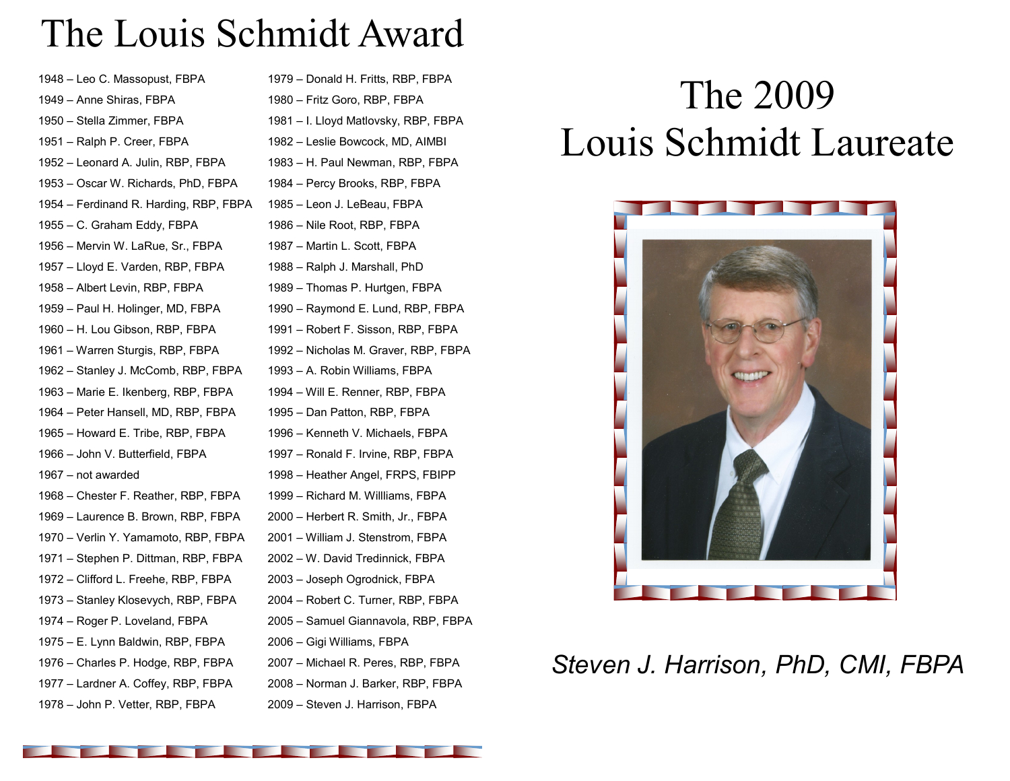## The Louis Schmidt Award

| 1948 - Leo C. Massopust, FBPA          |
|----------------------------------------|
| 1949 – Anne Shiras, FBPA               |
| 1950 - Stella Zimmer, FBPA             |
| 1951 - Ralph P. Creer, FBPA            |
| 1952 - Leonard A. Julin, RBP, FBPA     |
| 1953 - Oscar W. Richards, PhD, FBPA    |
| 1954 - Ferdinand R. Harding, RBP, FBPA |
| 1955 - C. Graham Eddy, FBPA            |
| 1956 - Mervin W. LaRue, Sr., FBPA      |
| 1957 - Lloyd E. Varden, RBP, FBPA      |
| 1958 – Albert Levin, RBP, FBPA         |
| 1959 - Paul H. Holinger, MD, FBPA      |
| 1960 - H. Lou Gibson, RBP, FBPA        |
| 1961 - Warren Sturgis, RBP, FBPA       |
| 1962 - Stanley J. McComb, RBP, FBPA    |
| 1963 - Marie E. Ikenberg, RBP, FBPA    |
| 1964 - Peter Hansell, MD, RBP, FBPA    |
| 1965 - Howard E. Tribe, RBP, FBPA      |
| 1966 – John V. Butterfield, FBPA       |
| 1967 – not awarded                     |
| 1968 - Chester F. Reather, RBP, FBPA   |
| 1969 - Laurence B. Brown, RBP, FBPA    |
| 1970 - Verlin Y. Yamamoto, RBP, FBPA   |
| 1971 – Stephen P. Dittman, RBP, FBPA   |
| 1972 - Clifford L. Freehe, RBP, FBPA   |
| 1973 - Stanley Klosevych, RBP, FBPA    |
| 1974 - Roger P. Loveland, FBPA         |
| 1975 – E. Lynn Baldwin, RBP, FBPA      |
| 1976 - Charles P. Hodge, RBP, FBPA     |
| 1977 - Lardner A. Coffey, RBP, FBPA    |
| 1978 - John P. Vetter, RBP, FBPA       |

– Donald H. Fritts, RBP, FBPA – Fritz Goro, RBP, FBPA – I. Lloyd Matlovsky, RBP, FBPA – Leslie Bowcock, MD, AIMBI – H. Paul Newman, RBP, FBPA – Percy Brooks, RBP, FBPA – Leon J. LeBeau, FBPA – Nile Root, RBP, FBPA – Martin L. Scott, FBPA – Ralph J. Marshall, PhD – Thomas P. Hurtgen, FBPA – Raymond E. Lund, RBP, FBPA – Robert F. Sisson, RBP, FBPA – Nicholas M. Graver, RBP, FBPA – A. Robin Williams, FBPA – Will E. Renner, RBP, FBPA – Dan Patton, RBP, FBPA – Kenneth V. Michaels, FBPA – Ronald F. Irvine, RBP, FBPA – Heather Angel, FRPS, FBIPP – Richard M. Willliams, FBPA – Herbert R. Smith, Jr., FBPA – William J. Stenstrom, FBPA – W. David Tredinnick, FBPA – Joseph Ogrodnick, FBPA – Robert C. Turner, RBP, FBPA – Samuel Giannavola, RBP, FBPA – Gigi Williams, FBPA – Michael R. Peres, RBP, FBPA – Norman J. Barker, RBP, FBPA

– Steven J. Harrison, FBPA

## The 2009 Louis Schmidt Laureate



*Steven J. Harrison, PhD, CMI, FBPA*